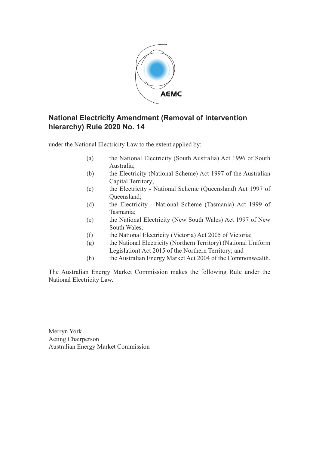

## **National Electricity Amendment (Removal of intervention hierarchy) Rule 2020 No. 14**

under the National Electricity Law to the extent applied by:

- (a) the National Electricity (South Australia) Act 1996 of South Australia;
- (b) the Electricity (National Scheme) Act 1997 of the Australian Capital Territory;
- (c) the Electricity National Scheme (Queensland) Act 1997 of Queensland;
- (d) the Electricity National Scheme (Tasmania) Act 1999 of Tasmania;
- (e) the National Electricity (New South Wales) Act 1997 of New South Wales;
- (f) the National Electricity (Victoria) Act 2005 of Victoria;
- (g) the National Electricity (Northern Territory) (National Uniform Legislation) Act 2015 of the Northern Territory; and
- (h) the Australian Energy Market Act 2004 of the Commonwealth.

The Australian Energy Market Commission makes the following Rule under the National Electricity Law.

Merryn York Acting Chairperson Australian Energy Market Commission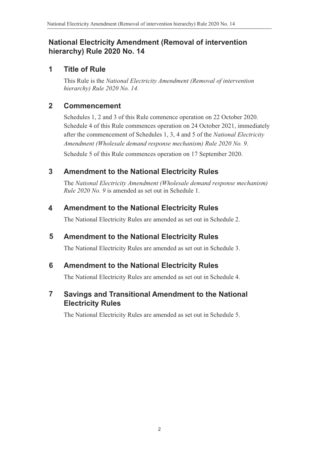# **National Electricity Amendment (Removal of intervention hierarchy) Rule 2020 No. 14**

#### **1 Title of Rule**

This Rule is the *National Electricity Amendment (Removal of intervention hierarchy) Rule 2020 No. 14.* 

#### **2 Commencement**

Schedules 1, 2 and 3 of this Rule commence operation on 22 October 2020. Schedule 4 of this Rule commences operation on 24 October 2021, immediately after the commencement of Schedules 1, 3, 4 and 5 of the *National Electricity Amendment (Wholesale demand response mechanism) Rule 2020 No. 9*.

Schedule 5 of this Rule commences operation on 17 September 2020.

#### **3 Amendment to the National Electricity Rules**

The *National Electricity Amendment (Wholesale demand response mechanism) Rule 2020 No. 9* is amended as set out in Schedule 1.

#### **4 Amendment to the National Electricity Rules**

<span id="page-1-0"></span>The National Electricity Rules are amen[ded as set ou](#page-2-0)t in Schedule 2.

#### **5 Amendment to the National Electricity Rules**

The National Electricity Rules are amended as set out in [Schedule 3.](#page-3-0)

#### **6 Amendment to the National Electricity Rules**

<span id="page-1-1"></span>The National Electricity Rules are amended as set out in [Schedule 4.](#page-6-0)

#### **7 Savings and Transitional Amendment to the National Electricity Rules**

<span id="page-1-2"></span>The National Electricity Rules are amended as set out in Schedule 5.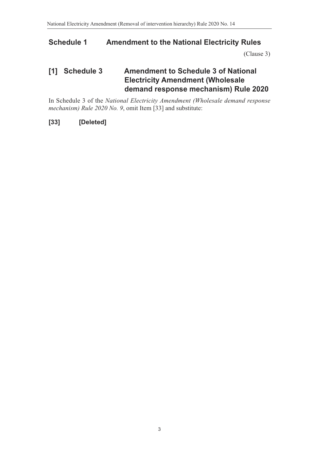# **Schedule 1 Amendment to the National Electricity Rules**

<span id="page-2-0"></span>(Clause 3)

## **[1] Schedule 3 Amendment to Schedule 3 of National Electricity Amendment (Wholesal[e](#page-1-0) demand response mechanism) Rule 2020**

In Schedule 3 of the *National Electricity Amendment (Wholesale demand response mechanism) Rule 2020 No. 9*, omit Item [33] and substitute:

#### **[33] [Deleted]**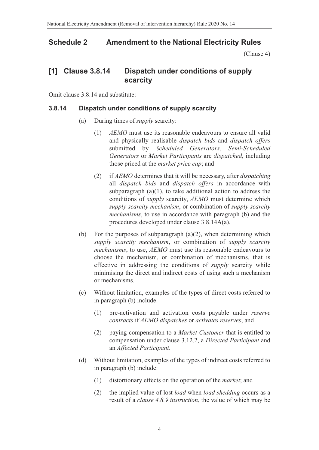#### **Schedule 2 Amendment to the National Electricity Rules**

<span id="page-3-0"></span>(Clause 4)

## **[1] Clause 3.8.14 Dispatch under conditions of supply scarcity**

Omit clause 3.8.14 and substitute:

#### **3.8.14 Dispatch under conditions of supply scarcity**

- (a) During times of *supply* scarcity:
	- (1) *AEMO* must use its reasonable endeavours to ensure all valid and physically realisable *dispatch bids* and *dispatch offers* submitted by *Scheduled Generators*, *Semi-Scheduled Generators* or *Market Participants* are *dispatched*, including those priced at the *market price cap*; and
	- (2) if *AEMO* determines that it will be necessary, after *dispatching* all *dispatch bids* and *dispatch offers* in accordance with subparagraph  $(a)(1)$ , to take additional action to address the conditions of *supply* scarcity, *AEMO* must determine which *supply scarcity mechanism*, or combination of *supply scarcity mechanisms*, to use in accordance with paragraph (b) and the procedures developed under clause 3.8.14A(a).
- (b) For the purposes of subparagraph  $(a)(2)$ , when determining which *supply scarcity mechanism*, or combination of *supply scarcity mechanisms*, to use, *AEMO* must use its reasonable endeavours to choose the mechanism, or combination of mechanisms, that is effective in addressing the conditions of *supply* scarcity while minimising the direct and indirect costs of using such a mechanism or mechanisms.
- (c) Without limitation, examples of the types of direct costs referred to in paragraph (b) include:
	- (1) pre-activation and activation costs payable under *reserve contracts* if *AEMO dispatches* or *activates reserves*; and
	- (2) paying compensation to a *Market Customer* that is entitled to compensation under clause 3.12.2, a *Directed Participant* and an *Affected Participant*.
- (d) Without limitation, examples of the types of indirect costs referred to in paragraph (b) include:
	- (1) distortionary effects on the operation of the *market*; and
	- (2) the implied value of lost *load* when *load shedding* occurs as a result of a *clause 4.8.9 instruction*, the value of which may be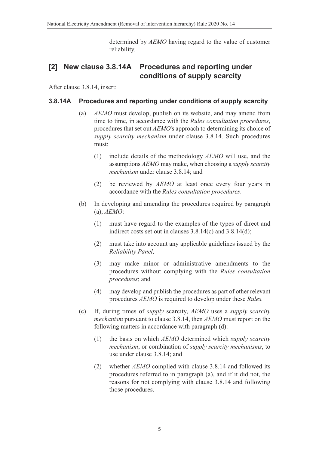determined by *AEMO* having regard to the value of customer reliability.

# **[2] New clause 3.8.14A Procedures and reporting under conditions of supply scarcity**

After clause 3.8.14, insert:

#### **3.8.14A Procedures and reporting under conditions of supply scarcity**

- (a) *AEMO* must develop, publish on its website, and may amend from time to time, in accordance with the *Rules consultation procedures*, procedures that set out *AEMO*'s approach to determining its choice of *supply scarcity mechanism* under clause 3.8.14. Such procedures must:
	- (1) include details of the methodology *AEMO* will use, and the assumptions *AEMO* may make, when choosing a *supply scarcity mechanism* under clause 3.8.14; and
	- (2) be reviewed by *AEMO* at least once every four years in accordance with the *Rules consultation procedures*.
- (b) In developing and amending the procedures required by paragraph (a), *AEMO*:
	- (1) must have regard to the examples of the types of direct and indirect costs set out in clauses 3.8.14(c) and 3.8.14(d);
	- (2) must take into account any applicable guidelines issued by the *Reliability Panel;*
	- (3) may make minor or administrative amendments to the procedures without complying with the *Rules consultation procedures*; and
	- (4) may develop and publish the procedures as part of other relevant procedures *AEMO* is required to develop under these *Rules.*
- (c) If, during times of *supply* scarcity, *AEMO* uses a *supply scarcity mechanism* pursuant to clause 3.8.14, then *AEMO* must report on the following matters in accordance with paragraph (d):
	- (1) the basis on which *AEMO* determined which *supply scarcity mechanism*, or combination of *supply scarcity mechanisms*, to use under clause 3.8.14; and
	- (2) whether *AEMO* complied with clause 3.8.14 and followed its procedures referred to in paragraph (a), and if it did not, the reasons for not complying with clause 3.8.14 and following those procedures.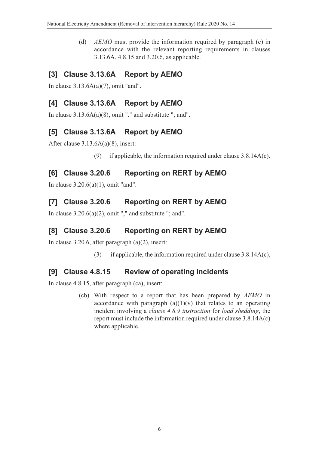(d) *AEMO* must provide the information required by paragraph (c) in accordance with the relevant reporting requirements in clauses 3.13.6A, 4.8.15 and 3.20.6, as applicable.

## **[3] Clause 3.13.6A Report by AEMO**

In clause 3.13.6A(a)(7), omit "and".

# **[4] Clause 3.13.6A Report by AEMO**

In clause  $3.13.6A(a)(8)$ , omit "." and substitute "; and".

## **[5] Clause 3.13.6A Report by AEMO**

After clause 3.13.6A(a)(8), insert:

(9) if applicable, the information required under clause  $3.8.14A(c)$ .

## **[6] Clause 3.20.6 Reporting on RERT by AEMO**

In clause 3.20.6(a)(1), omit "and".

## **[7] Clause 3.20.6 Reporting on RERT by AEMO**

In clause  $3.20.6(a)(2)$ , omit "," and substitute "; and".

## **[8] Clause 3.20.6 Reporting on RERT by AEMO**

In clause 3.20.6, after paragraph (a)(2), insert:

(3) if applicable, the information required under clause 3.8.14A(c),

## **[9] Clause 4.8.15 Review of operating incidents**

In clause 4.8.15, after paragraph (ca), insert:

(cb) With respect to a report that has been prepared by *AEMO* in accordance with paragraph  $(a)(1)(v)$  that relates to an operating incident involving a *clause 4.8.9 instruction* for *load shedding*, the report must include the information required under clause 3.8.14A(c) where applicable.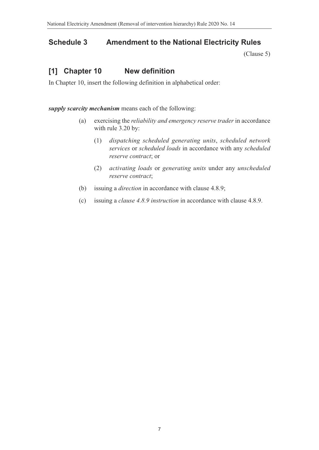#### **Schedule 3 Amendment to the National Electricity Rules**

<span id="page-6-0"></span>(Clause 5)

#### **[1] Chapter 10 New definition**

In Chapter 10, insert the following definition in alphabetical order:

*supply scarcity mechanism* means each of the following:

- (a) exercising the *reliability and emergency reserve trader* in accordance with rule 3.20 by:
	- (1) *dispatching scheduled generating units*, *scheduled network services* or *scheduled loads* in accordance with any *scheduled reserve contract*; or
	- (2) *activating loads* or *generating units* under any *unscheduled reserve contract*;
- (b) issuing a *direction* in accordance with clause 4.8.9;
- (c) issuing a *clause 4.8.9 instruction* in accordance with clause 4.8.9.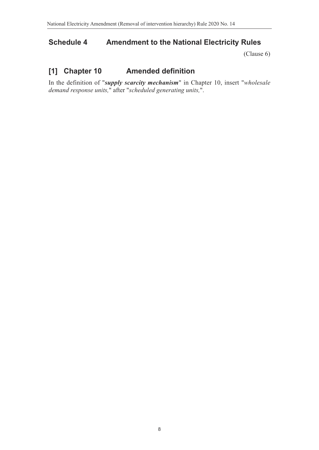# **Schedule 4 Amendment to the National Electricity Rules**

(Clause 6)

# **[1] Chapter 10 Amended definition**

In the definition of "*supply scarcity mechanism*" in Chapter 10, insert "*[wholesale](#page-1-1) demand response units,*" after "*scheduled generating units,*".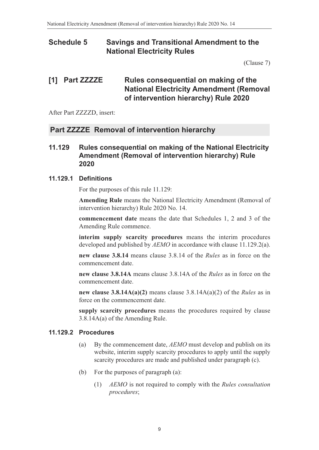### **Schedule 5 Savings and Transitional Amendment to the National Electricity Rules**

(Clause 7)

### **[1] Part ZZZZE Rules consequential on making of the National Electricity Amendment ([Removal](#page-1-2) of intervention hierarchy) Rule 2020**

After Part ZZZZD, insert:

#### **Part ZZZZE Removal of intervention hierarchy**

#### **11.129 Rules consequential on making of the National Electricity Amendment (Removal of intervention hierarchy) Rule 2020**

#### **11.129.1 Definitions**

For the purposes of this rule 11.129:

**Amending Rule** means the National Electricity Amendment (Removal of intervention hierarchy) Rule 2020 No. 14.

**commencement date** means the date that Schedules 1, 2 and 3 of the Amending Rule commence.

**interim supply scarcity procedures** means the interim procedures developed and published by *AEMO* in accordance with clause 11.129.2(a).

**new clause 3.8.14** means clause 3.8.14 of the *Rules* as in force on the commencement date.

**new clause 3.8.14A** means clause 3.8.14A of the *Rules* as in force on the commencement date.

**new clause 3.8.14A(a)(2)** means clause 3.8.14A(a)(2) of the *Rules* as in force on the commencement date.

**supply scarcity procedures** means the procedures required by clause 3.8.14A(a) of the Amending Rule.

#### **11.129.2 Procedures**

- (a) By the commencement date, *AEMO* must develop and publish on its website, interim supply scarcity procedures to apply until the supply scarcity procedures are made and published under paragraph (c).
- (b) For the purposes of paragraph (a):
	- (1) *AEMO* is not required to comply with the *Rules consultation procedures*;